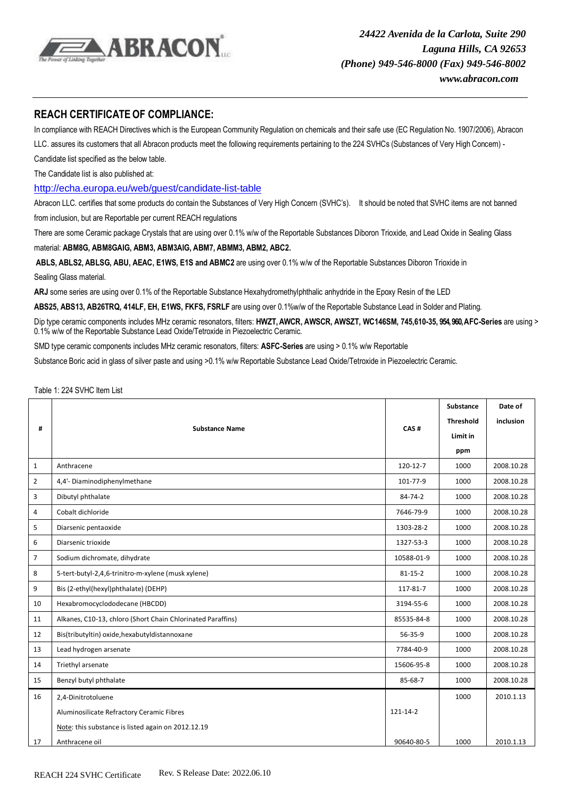

## **REACH CERTIFICATEOF COMPLIANCE:**

In compliance with REACH Directives which is the European Community Regulation on chemicals and their safe use (EC Regulation No. 1907/2006), Abracon LLC. assures its customers that all Abracon products meet the following requirements pertaining to the 224 SVHCs (Substances of Very High Concern) -

Candidate list specified as the below table.

The Candidate list is also published at:

<http://echa.europa.eu/web/guest/candidate-list-table>

Abracon LLC. certifies that some products do contain the Substances of Very High Concern (SVHC's). It should be noted that SVHC items are not banned from inclusion, but are Reportable per current REACH regulations

There are some Ceramic package Crystals that are using over 0.1% w/w of the Reportable Substances Diboron Trioxide, and Lead Oxide in Sealing Glass

material: **ABM8G, ABM8GAIG, ABM3, ABM3AIG, ABM7, ABMM3, ABM2, ABC2.**

**ABLS, ABLS2, ABLSG, ABU, AEAC, E1WS, E1S and ABMC2** are using over 0.1% w/w of the Reportable Substances Diboron Trioxide in Sealing Glass material.

**ARJ** some series are using over 0.1% of the Reportable Substance Hexahydromethylphthalic anhydride in the Epoxy Resin of the LED

**ABS25, ABS13, AB26TRQ, 414LF, EH, E1WS, FKFS, FSRLF** are using over 0.1%w/w of the Reportable Substance Lead in Solder and Plating.

Dip type ceramic components includes MHz ceramic resonators, filters: **HWZT,AWCR, AWSCR, AWSZT, WC146SM, 745,610-35, 954, 960, AFC-Series** are using > 0.1% w/w of the Reportable Substance Lead Oxide/Tetroxide in Piezoelectric Ceramic.

SMD type ceramic components includes MHz ceramic resonators, filters: **ASFC-Series** are using > 0.1% w/w Reportable

Substance Boric acid in glass of silver paste and using >0.1% w/w Reportable Substance Lead Oxide/Tetroxide in Piezoelectric Ceramic.

## Table 1: 224 SVHC Item List

| #              |                                                             |               | Substance        | Date of    |
|----------------|-------------------------------------------------------------|---------------|------------------|------------|
|                |                                                             | CAS#          | <b>Threshold</b> | inclusion  |
|                | <b>Substance Name</b>                                       |               | Limit in         |            |
|                |                                                             |               | ppm              |            |
| $\mathbf{1}$   | Anthracene                                                  | 120-12-7      | 1000             | 2008.10.28 |
| $\overline{2}$ | 4,4'- Diaminodiphenylmethane                                | 101-77-9      | 1000             | 2008.10.28 |
| 3              | Dibutyl phthalate                                           | 84-74-2       | 1000             | 2008.10.28 |
| 4              | Cobalt dichloride                                           | 7646-79-9     | 1000             | 2008.10.28 |
| 5              | Diarsenic pentaoxide                                        | 1303-28-2     | 1000             | 2008.10.28 |
| 6              | Diarsenic trioxide                                          | 1327-53-3     | 1000             | 2008.10.28 |
| $\overline{7}$ | Sodium dichromate, dihydrate                                | 10588-01-9    | 1000             | 2008.10.28 |
| 8              | 5-tert-butyl-2,4,6-trinitro-m-xylene (musk xylene)          | $81 - 15 - 2$ | 1000             | 2008.10.28 |
| 9              | Bis (2-ethyl(hexyl)phthalate) (DEHP)                        | 117-81-7      | 1000             | 2008.10.28 |
| 10             | Hexabromocyclododecane (HBCDD)                              | 3194-55-6     | 1000             | 2008.10.28 |
| 11             | Alkanes, C10-13, chloro (Short Chain Chlorinated Paraffins) | 85535-84-8    | 1000             | 2008.10.28 |
| 12             | Bis(tributyltin) oxide, hexabutyl distannoxane              | 56-35-9       | 1000             | 2008.10.28 |
| 13             | Lead hydrogen arsenate                                      | 7784-40-9     | 1000             | 2008.10.28 |
| 14             | Triethyl arsenate                                           | 15606-95-8    | 1000             | 2008.10.28 |
| 15             | Benzyl butyl phthalate                                      | 85-68-7       | 1000             | 2008.10.28 |
| 16             | 2,4-Dinitrotoluene                                          |               | 1000             | 2010.1.13  |
|                | Aluminosilicate Refractory Ceramic Fibres                   | 121-14-2      |                  |            |
|                | Note: this substance is listed again on 2012.12.19          |               |                  |            |
| 17             | Anthracene oil                                              | 90640-80-5    | 1000             | 2010.1.13  |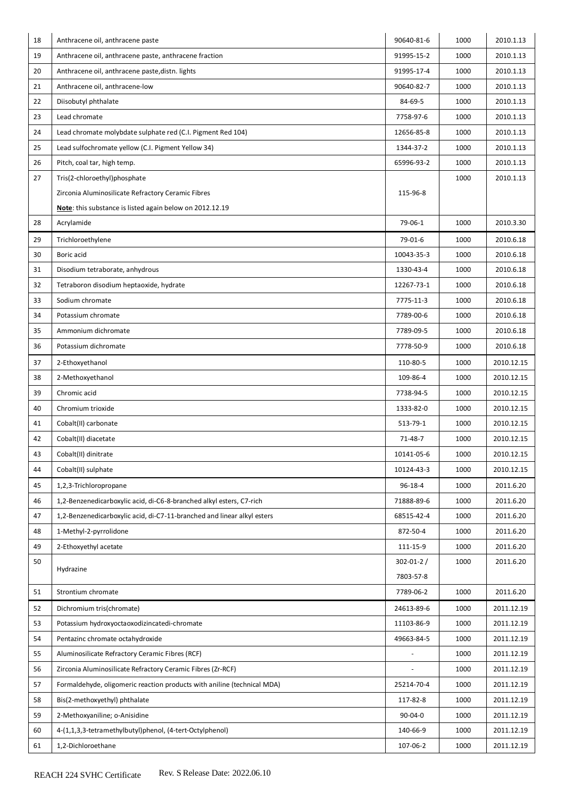| 18 | Anthracene oil, anthracene paste                                        | 90640-81-6               | 1000 | 2010.1.13  |
|----|-------------------------------------------------------------------------|--------------------------|------|------------|
| 19 | Anthracene oil, anthracene paste, anthracene fraction                   | 91995-15-2               | 1000 | 2010.1.13  |
| 20 | Anthracene oil, anthracene paste, distn. lights                         | 91995-17-4               | 1000 | 2010.1.13  |
| 21 | Anthracene oil, anthracene-low                                          | 90640-82-7               | 1000 | 2010.1.13  |
| 22 | Diisobutyl phthalate                                                    | 84-69-5                  | 1000 | 2010.1.13  |
| 23 | Lead chromate                                                           | 7758-97-6                | 1000 | 2010.1.13  |
| 24 | Lead chromate molybdate sulphate red (C.I. Pigment Red 104)             | 12656-85-8               | 1000 | 2010.1.13  |
| 25 | Lead sulfochromate yellow (C.I. Pigment Yellow 34)                      | 1344-37-2                | 1000 | 2010.1.13  |
| 26 | Pitch, coal tar, high temp.                                             | 65996-93-2               | 1000 | 2010.1.13  |
| 27 | Tris(2-chloroethyl)phosphate                                            |                          | 1000 | 2010.1.13  |
|    | Zirconia Aluminosilicate Refractory Ceramic Fibres                      | 115-96-8                 |      |            |
|    | Note: this substance is listed again below on 2012.12.19                |                          |      |            |
| 28 | Acrylamide                                                              | 79-06-1                  | 1000 | 2010.3.30  |
| 29 | Trichloroethylene                                                       | 79-01-6                  | 1000 | 2010.6.18  |
| 30 | Boric acid                                                              | 10043-35-3               | 1000 | 2010.6.18  |
| 31 | Disodium tetraborate, anhydrous                                         | 1330-43-4                | 1000 | 2010.6.18  |
| 32 | Tetraboron disodium heptaoxide, hydrate                                 | 12267-73-1               | 1000 | 2010.6.18  |
| 33 | Sodium chromate                                                         | 7775-11-3                | 1000 | 2010.6.18  |
| 34 | Potassium chromate                                                      | 7789-00-6                | 1000 | 2010.6.18  |
| 35 | Ammonium dichromate                                                     | 7789-09-5                | 1000 | 2010.6.18  |
| 36 | Potassium dichromate                                                    | 7778-50-9                | 1000 | 2010.6.18  |
| 37 | 2-Ethoxyethanol                                                         | 110-80-5                 | 1000 | 2010.12.15 |
| 38 | 2-Methoxyethanol                                                        | 109-86-4                 | 1000 | 2010.12.15 |
| 39 | Chromic acid                                                            | 7738-94-5                | 1000 | 2010.12.15 |
| 40 | Chromium trioxide                                                       | 1333-82-0                | 1000 | 2010.12.15 |
| 41 | Cobalt(II) carbonate                                                    | 513-79-1                 | 1000 | 2010.12.15 |
| 42 | Cobalt(II) diacetate                                                    | 71-48-7                  | 1000 | 2010.12.15 |
| 43 | Cobalt(II) dinitrate                                                    | 10141-05-6               | 1000 | 2010.12.15 |
| 44 | Cobalt(II) sulphate                                                     | 10124-43-3               | 1000 | 2010.12.15 |
| 45 | 1,2,3-Trichloropropane                                                  | 96-18-4                  | 1000 | 2011.6.20  |
| 46 | 1,2-Benzenedicarboxylic acid, di-C6-8-branched alkyl esters, C7-rich    | 71888-89-6               | 1000 | 2011.6.20  |
| 47 | 1,2-Benzenedicarboxylic acid, di-C7-11-branched and linear alkyl esters | 68515-42-4               | 1000 | 2011.6.20  |
| 48 | 1-Methyl-2-pyrrolidone                                                  | 872-50-4                 | 1000 | 2011.6.20  |
| 49 | 2-Ethoxyethyl acetate                                                   | 111-15-9                 | 1000 | 2011.6.20  |
| 50 | Hydrazine                                                               | 302-01-2/                | 1000 | 2011.6.20  |
|    |                                                                         | 7803-57-8                |      |            |
| 51 | Strontium chromate                                                      | 7789-06-2                | 1000 | 2011.6.20  |
| 52 | Dichromium tris(chromate)                                               | 24613-89-6               | 1000 | 2011.12.19 |
| 53 | Potassium hydroxyoctaoxodizincatedi-chromate                            | 11103-86-9               | 1000 | 2011.12.19 |
| 54 | Pentazinc chromate octahydroxide                                        | 49663-84-5               | 1000 | 2011.12.19 |
| 55 | Aluminosilicate Refractory Ceramic Fibres (RCF)                         | $\overline{\phantom{a}}$ | 1000 | 2011.12.19 |
| 56 | Zirconia Aluminosilicate Refractory Ceramic Fibres (Zr-RCF)             |                          | 1000 | 2011.12.19 |
| 57 | Formaldehyde, oligomeric reaction products with aniline (technical MDA) | 25214-70-4               | 1000 | 2011.12.19 |
| 58 | Bis(2-methoxyethyl) phthalate                                           | 117-82-8                 | 1000 | 2011.12.19 |
| 59 | 2-Methoxyaniline; o-Anisidine                                           | $90 - 04 - 0$            | 1000 | 2011.12.19 |
| 60 | 4-(1,1,3,3-tetramethylbutyl)phenol, (4-tert-Octylphenol)                | 140-66-9                 | 1000 | 2011.12.19 |
| 61 | 1,2-Dichloroethane                                                      | 107-06-2                 | 1000 | 2011.12.19 |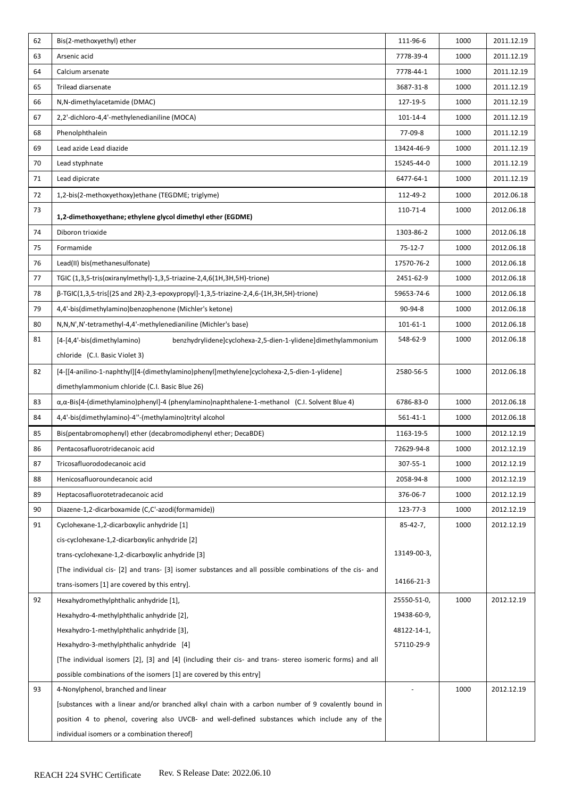| 62 | Bis(2-methoxyethyl) ether                                                                                     | 111-96-6       | 1000 | 2011.12.19 |
|----|---------------------------------------------------------------------------------------------------------------|----------------|------|------------|
| 63 | Arsenic acid                                                                                                  | 7778-39-4      | 1000 | 2011.12.19 |
| 64 | Calcium arsenate                                                                                              | 7778-44-1      | 1000 | 2011.12.19 |
| 65 | Trilead diarsenate                                                                                            | 3687-31-8      | 1000 | 2011.12.19 |
| 66 | N,N-dimethylacetamide (DMAC)                                                                                  | 127-19-5       | 1000 | 2011.12.19 |
| 67 | 2,2'-dichloro-4,4'-methylenedianiline (MOCA)                                                                  | 101-14-4       | 1000 | 2011.12.19 |
| 68 | Phenolphthalein                                                                                               | 77-09-8        | 1000 | 2011.12.19 |
| 69 | Lead azide Lead diazide                                                                                       | 13424-46-9     | 1000 | 2011.12.19 |
| 70 | Lead styphnate                                                                                                | 15245-44-0     | 1000 | 2011.12.19 |
| 71 | Lead dipicrate                                                                                                | 6477-64-1      | 1000 | 2011.12.19 |
| 72 | 1,2-bis(2-methoxyethoxy)ethane (TEGDME; triglyme)                                                             | 112-49-2       | 1000 | 2012.06.18 |
| 73 | 1,2-dimethoxyethane; ethylene glycol dimethyl ether (EGDME)                                                   | 110-71-4       | 1000 | 2012.06.18 |
| 74 | Diboron trioxide                                                                                              | 1303-86-2      | 1000 | 2012.06.18 |
| 75 | Formamide                                                                                                     | $75-12-7$      | 1000 | 2012.06.18 |
| 76 | Lead(II) bis(methanesulfonate)                                                                                | 17570-76-2     | 1000 | 2012.06.18 |
| 77 | TGIC (1,3,5-tris(oxiranylmethyl)-1,3,5-triazine-2,4,6(1H,3H,5H)-trione)                                       | 2451-62-9      | 1000 | 2012.06.18 |
| 78 | $\beta$ -TGIC(1,3,5-tris[(2S and 2R)-2,3-epoxypropyl]-1,3,5-triazine-2,4,6-(1H,3H,5H)-trione)                 | 59653-74-6     | 1000 | 2012.06.18 |
| 79 | 4,4'-bis(dimethylamino)benzophenone (Michler's ketone)                                                        | 90-94-8        | 1000 | 2012.06.18 |
| 80 | N,N,N',N'-tetramethyl-4,4'-methylenedianiline (Michler's base)                                                | 101-61-1       | 1000 | 2012.06.18 |
| 81 | [4-[4,4'-bis(dimethylamino)<br>benzhydrylidene]cyclohexa-2,5-dien-1-ylidene]dimethylammonium                  | 548-62-9       | 1000 | 2012.06.18 |
|    | chloride (C.I. Basic Violet 3)                                                                                |                |      |            |
| 82 | [4-[[4-anilino-1-naphthyl][4-(dimethylamino)phenyl]methylene]cyclohexa-2,5-dien-1-ylidene]                    | 2580-56-5      | 1000 | 2012.06.18 |
|    | dimethylammonium chloride (C.I. Basic Blue 26)                                                                |                |      |            |
| 83 | $\alpha$ , $\alpha$ -Bis[4-(dimethylamino)phenyl]-4 (phenylamino)naphthalene-1-methanol (C.I. Solvent Blue 4) | 6786-83-0      | 1000 | 2012.06.18 |
| 84 | 4,4'-bis(dimethylamino)-4"-(methylamino)trityl alcohol                                                        | 561-41-1       | 1000 | 2012.06.18 |
| 85 | Bis(pentabromophenyl) ether (decabromodiphenyl ether; DecaBDE)                                                | 1163-19-5      | 1000 | 2012.12.19 |
| 86 | Pentacosafluorotridecanoic acid                                                                               | 72629-94-8     | 1000 | 2012.12.19 |
| 87 | Tricosafluorododecanoic acid                                                                                  | 307-55-1       | 1000 | 2012.12.19 |
| 88 | Henicosafluoroundecanoic acid                                                                                 | 2058-94-8      | 1000 | 2012.12.19 |
| 89 | Heptacosafluorotetradecanoic acid                                                                             | 376-06-7       | 1000 | 2012.12.19 |
| 90 | Diazene-1,2-dicarboxamide (C,C'-azodi(formamide))                                                             | 123-77-3       | 1000 | 2012.12.19 |
| 91 | Cyclohexane-1,2-dicarboxylic anhydride [1]                                                                    | $85 - 42 - 7,$ | 1000 | 2012.12.19 |
|    | cis-cyclohexane-1,2-dicarboxylic anhydride [2]                                                                |                |      |            |
|    | trans-cyclohexane-1,2-dicarboxylic anhydride [3]                                                              | 13149-00-3,    |      |            |
|    | [The individual cis- [2] and trans- [3] isomer substances and all possible combinations of the cis- and       |                |      |            |
|    | trans-isomers [1] are covered by this entry].                                                                 | 14166-21-3     |      |            |
| 92 | Hexahydromethylphthalic anhydride [1],                                                                        | 25550-51-0,    | 1000 | 2012.12.19 |
|    | Hexahydro-4-methylphthalic anhydride [2],                                                                     | 19438-60-9,    |      |            |
|    | Hexahydro-1-methylphthalic anhydride [3],                                                                     | 48122-14-1,    |      |            |
|    | Hexahydro-3-methylphthalic anhydride [4]                                                                      | 57110-29-9     |      |            |
|    | [The individual isomers [2], [3] and [4] (including their cis- and trans- stereo isomeric forms) and all      |                |      |            |
|    | possible combinations of the isomers [1] are covered by this entry]                                           |                |      |            |
| 93 | 4-Nonylphenol, branched and linear                                                                            |                | 1000 | 2012.12.19 |
|    | [substances with a linear and/or branched alkyl chain with a carbon number of 9 covalently bound in           |                |      |            |
|    | position 4 to phenol, covering also UVCB- and well-defined substances which include any of the                |                |      |            |
|    | individual isomers or a combination thereof]                                                                  |                |      |            |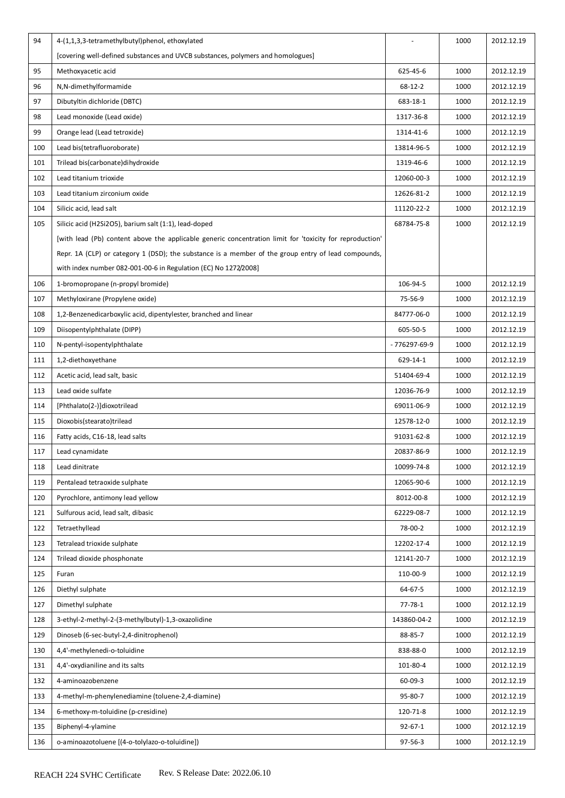| 94  | 4-(1,1,3,3-tetramethylbutyl)phenol, ethoxylated                                                          |               | 1000 | 2012.12.19 |
|-----|----------------------------------------------------------------------------------------------------------|---------------|------|------------|
|     | [covering well-defined substances and UVCB substances, polymers and homologues]                          |               |      |            |
| 95  | Methoxyacetic acid                                                                                       | 625-45-6      | 1000 | 2012.12.19 |
| 96  | N,N-dimethylformamide                                                                                    | 68-12-2       | 1000 | 2012.12.19 |
| 97  | Dibutyltin dichloride (DBTC)                                                                             | 683-18-1      | 1000 | 2012.12.19 |
| 98  | Lead monoxide (Lead oxide)                                                                               | 1317-36-8     | 1000 | 2012.12.19 |
| 99  | Orange lead (Lead tetroxide)                                                                             | 1314-41-6     | 1000 | 2012.12.19 |
| 100 | Lead bis(tetrafluoroborate)                                                                              | 13814-96-5    | 1000 | 2012.12.19 |
| 101 | Trilead bis(carbonate)dihydroxide                                                                        | 1319-46-6     | 1000 | 2012.12.19 |
| 102 | Lead titanium trioxide                                                                                   | 12060-00-3    | 1000 | 2012.12.19 |
| 103 | Lead titanium zirconium oxide                                                                            | 12626-81-2    | 1000 | 2012.12.19 |
| 104 | Silicic acid, lead salt                                                                                  | 11120-22-2    | 1000 | 2012.12.19 |
| 105 | Silicic acid (H2Si2O5), barium salt (1:1), lead-doped                                                    | 68784-75-8    | 1000 | 2012.12.19 |
|     | [with lead (Pb) content above the applicable generic concentration limit for 'toxicity for reproduction' |               |      |            |
|     | Repr. 1A (CLP) or category 1 (DSD); the substance is a member of the group entry of lead compounds,      |               |      |            |
|     | with index number 082-001-00-6 in Regulation (EC) No 1272/2008]                                          |               |      |            |
| 106 | 1-bromopropane (n-propyl bromide)                                                                        | 106-94-5      | 1000 | 2012.12.19 |
| 107 | Methyloxirane (Propylene oxide)                                                                          | 75-56-9       | 1000 | 2012.12.19 |
| 108 | 1,2-Benzenedicarboxylic acid, dipentylester, branched and linear                                         | 84777-06-0    | 1000 | 2012.12.19 |
| 109 | Diisopentylphthalate (DIPP)                                                                              | 605-50-5      | 1000 | 2012.12.19 |
| 110 | N-pentyl-isopentylphthalate                                                                              | - 776297-69-9 | 1000 | 2012.12.19 |
| 111 | 1,2-diethoxyethane                                                                                       | 629-14-1      | 1000 | 2012.12.19 |
| 112 | Acetic acid, lead salt, basic                                                                            | 51404-69-4    | 1000 | 2012.12.19 |
| 113 | Lead oxide sulfate                                                                                       | 12036-76-9    | 1000 | 2012.12.19 |
| 114 | [Phthalato(2-)]dioxotrilead                                                                              | 69011-06-9    | 1000 | 2012.12.19 |
| 115 | Dioxobis(stearato)trilead                                                                                | 12578-12-0    | 1000 | 2012.12.19 |
| 116 | Fatty acids, C16-18, lead salts                                                                          | 91031-62-8    | 1000 | 2012.12.19 |
| 117 | Lead cynamidate                                                                                          | 20837-86-9    | 1000 | 2012.12.19 |
| 118 | Lead dinitrate                                                                                           | 10099-74-8    | 1000 | 2012.12.19 |
| 119 | Pentalead tetraoxide sulphate                                                                            | 12065-90-6    | 1000 | 2012.12.19 |
| 120 | Pyrochlore, antimony lead yellow                                                                         | 8012-00-8     | 1000 | 2012.12.19 |
| 121 | Sulfurous acid, lead salt, dibasic                                                                       | 62229-08-7    | 1000 | 2012.12.19 |
| 122 | Tetraethyllead                                                                                           | 78-00-2       | 1000 | 2012.12.19 |
| 123 | Tetralead trioxide sulphate                                                                              | 12202-17-4    | 1000 | 2012.12.19 |
| 124 | Trilead dioxide phosphonate                                                                              | 12141-20-7    | 1000 | 2012.12.19 |
| 125 | Furan                                                                                                    | 110-00-9      | 1000 | 2012.12.19 |
| 126 | Diethyl sulphate                                                                                         | 64-67-5       | 1000 | 2012.12.19 |
| 127 | Dimethyl sulphate                                                                                        | $77 - 78 - 1$ | 1000 | 2012.12.19 |
| 128 | 3-ethyl-2-methyl-2-(3-methylbutyl)-1,3-oxazolidine                                                       | 143860-04-2   | 1000 | 2012.12.19 |
| 129 | Dinoseb (6-sec-butyl-2,4-dinitrophenol)                                                                  | 88-85-7       | 1000 | 2012.12.19 |
| 130 | 4,4'-methylenedi-o-toluidine                                                                             | 838-88-0      | 1000 | 2012.12.19 |
| 131 | 4,4'-oxydianiline and its salts                                                                          | 101-80-4      | 1000 | 2012.12.19 |
| 132 | 4-aminoazobenzene                                                                                        | 60-09-3       | 1000 | 2012.12.19 |
| 133 | 4-methyl-m-phenylenediamine (toluene-2,4-diamine)                                                        | 95-80-7       | 1000 | 2012.12.19 |
| 134 | 6-methoxy-m-toluidine (p-cresidine)                                                                      | 120-71-8      | 1000 | 2012.12.19 |
| 135 | Biphenyl-4-ylamine                                                                                       | $92 - 67 - 1$ | 1000 | 2012.12.19 |
| 136 | o-aminoazotoluene [(4-o-tolylazo-o-toluidine])                                                           | 97-56-3       | 1000 | 2012.12.19 |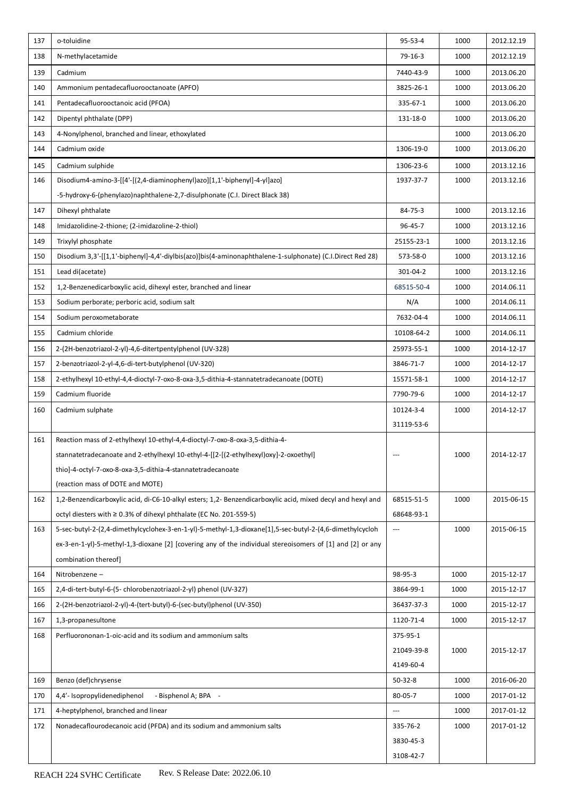| 137 | o-toluidine                                                                                                 | 95-53-4                  | 1000 | 2012.12.19 |
|-----|-------------------------------------------------------------------------------------------------------------|--------------------------|------|------------|
| 138 | N-methylacetamide                                                                                           | 79-16-3                  | 1000 | 2012.12.19 |
| 139 | Cadmium                                                                                                     | 7440-43-9                | 1000 | 2013.06.20 |
| 140 | Ammonium pentadecafluorooctanoate (APFO)                                                                    | 3825-26-1                | 1000 | 2013.06.20 |
| 141 | Pentadecafluorooctanoic acid (PFOA)                                                                         | 335-67-1                 | 1000 | 2013.06.20 |
| 142 | Dipentyl phthalate (DPP)                                                                                    | 131-18-0                 | 1000 | 2013.06.20 |
| 143 | 4-Nonylphenol, branched and linear, ethoxylated                                                             |                          | 1000 | 2013.06.20 |
| 144 | Cadmium oxide                                                                                               | 1306-19-0                | 1000 | 2013.06.20 |
| 145 | Cadmium sulphide                                                                                            | 1306-23-6                | 1000 | 2013.12.16 |
| 146 | Disodium4-amino-3-[[4'-[(2,4-diaminophenyl)azo][1,1'-biphenyl]-4-yl]azo]                                    | 1937-37-7                | 1000 | 2013.12.16 |
|     | -5-hydroxy-6-(phenylazo)naphthalene-2,7-disulphonate (C.I. Direct Black 38)                                 |                          |      |            |
| 147 | Dihexyl phthalate                                                                                           | 84-75-3                  | 1000 | 2013.12.16 |
| 148 | Imidazolidine-2-thione; (2-imidazoline-2-thiol)                                                             | 96-45-7                  | 1000 | 2013.12.16 |
| 149 | Trixylyl phosphate                                                                                          | 25155-23-1               | 1000 | 2013.12.16 |
| 150 | Disodium 3,3'-[[1,1'-biphenyl]-4,4'-diylbis(azo)]bis(4-aminonaphthalene-1-sulphonate) (C.I.Direct Red 28)   | 573-58-0                 | 1000 | 2013.12.16 |
| 151 | Lead di(acetate)                                                                                            | 301-04-2                 | 1000 | 2013.12.16 |
| 152 | 1,2-Benzenedicarboxylic acid, dihexyl ester, branched and linear                                            | 68515-50-4               | 1000 | 2014.06.11 |
| 153 | Sodium perborate; perboric acid, sodium salt                                                                | N/A                      | 1000 | 2014.06.11 |
| 154 | Sodium peroxometaborate                                                                                     | 7632-04-4                | 1000 | 2014.06.11 |
| 155 | Cadmium chloride                                                                                            | 10108-64-2               | 1000 | 2014.06.11 |
| 156 | 2-(2H-benzotriazol-2-yl)-4,6-ditertpentylphenol (UV-328)                                                    | 25973-55-1               | 1000 | 2014-12-17 |
| 157 | 2-benzotriazol-2-yl-4,6-di-tert-butylphenol (UV-320)                                                        | 3846-71-7                | 1000 | 2014-12-17 |
| 158 | 2-ethylhexyl 10-ethyl-4,4-dioctyl-7-oxo-8-oxa-3,5-dithia-4-stannatetradecanoate (DOTE)                      | 15571-58-1               | 1000 | 2014-12-17 |
| 159 | Cadmium fluoride                                                                                            | 7790-79-6                | 1000 | 2014-12-17 |
| 160 | Cadmium sulphate                                                                                            | 10124-3-4                | 1000 | 2014-12-17 |
|     |                                                                                                             | 31119-53-6               |      |            |
| 161 | Reaction mass of 2-ethylhexyl 10-ethyl-4,4-dioctyl-7-oxo-8-oxa-3,5-dithia-4-                                |                          |      |            |
|     | stannatetradecanoate and 2-ethylhexyl 10-ethyl-4-[[2-[(2-ethylhexyl)oxy]-2-oxoethyl]                        | $---$                    | 1000 | 2014-12-17 |
|     | thio]-4-octyl-7-oxo-8-oxa-3,5-dithia-4-stannatetradecanoate                                                 |                          |      |            |
|     | (reaction mass of DOTE and MOTE)                                                                            |                          |      |            |
| 162 | 1,2-Benzendicarboxylic acid, di-C6-10-alkyl esters; 1,2- Benzendicarboxylic acid, mixed decyl and hexyl and | 68515-51-5               | 1000 | 2015-06-15 |
|     | octyl diesters with $\geq 0.3\%$ of dihexyl phthalate (EC No. 201-559-5)                                    | 68648-93-1               |      |            |
| 163 | 5-sec-butyl-2-(2,4-dimethylcyclohex-3-en-1-yl)-5-methyl-1,3-dioxane[1],5-sec-butyl-2-(4,6-dimethylcycloh    | ---                      | 1000 | 2015-06-15 |
|     | ex-3-en-1-yl)-5-methyl-1,3-dioxane [2] [covering any of the individual stereoisomers of [1] and [2] or any  |                          |      |            |
|     | combination thereof]                                                                                        |                          |      |            |
| 164 | Nitrobenzene-                                                                                               | 98-95-3                  | 1000 | 2015-12-17 |
| 165 | 2,4-di-tert-butyl-6-(5-chlorobenzotriazol-2-yl) phenol (UV-327)                                             | 3864-99-1                | 1000 | 2015-12-17 |
| 166 | 2-(2H-benzotriazol-2-yl)-4-(tert-butyl)-6-(sec-butyl)phenol (UV-350)                                        | 36437-37-3               | 1000 | 2015-12-17 |
| 167 | 1,3-propanesultone                                                                                          | 1120-71-4                | 1000 | 2015-12-17 |
| 168 | Perfluorononan-1-oic-acid and its sodium and ammonium salts                                                 | 375-95-1                 |      |            |
|     |                                                                                                             | 21049-39-8               | 1000 | 2015-12-17 |
|     |                                                                                                             | 4149-60-4                |      |            |
| 169 | Benzo (def)chrysense                                                                                        | $50-32-8$                | 1000 | 2016-06-20 |
| 170 | 4,4'- Isopropylidenediphenol<br>- Bisphenol A; BPA -                                                        | 80-05-7                  | 1000 | 2017-01-12 |
| 171 | 4-heptylphenol, branched and linear                                                                         | $\hspace{0.05cm} \ldots$ | 1000 | 2017-01-12 |
| 172 | Nonadecaflourodecanoic acid (PFDA) and its sodium and ammonium salts                                        | 335-76-2                 | 1000 | 2017-01-12 |
|     |                                                                                                             | 3830-45-3                |      |            |
|     |                                                                                                             | 3108-42-7                |      |            |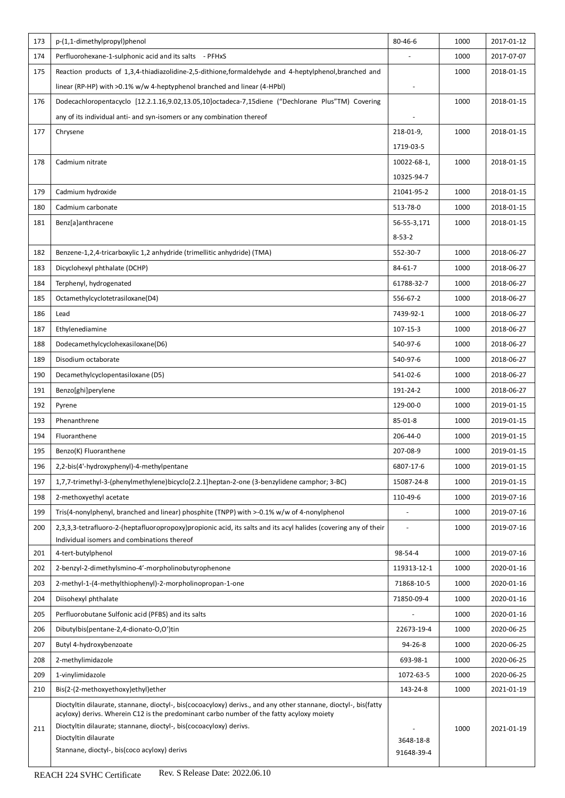| 173 | p-(1,1-dimethylpropyl)phenol                                                                                                                                                                                | 80-46-6                  | 1000 | 2017-01-12 |
|-----|-------------------------------------------------------------------------------------------------------------------------------------------------------------------------------------------------------------|--------------------------|------|------------|
| 174 | Perfluorohexane-1-sulphonic acid and its salts - PFHxS                                                                                                                                                      |                          | 1000 | 2017-07-07 |
| 175 | Reaction products of 1,3,4-thiadiazolidine-2,5-dithione, formaldehyde and 4-heptylphenol, branched and                                                                                                      |                          | 1000 | 2018-01-15 |
|     | linear (RP-HP) with >0.1% w/w 4-heptyphenol branched and linear (4-HPbl)                                                                                                                                    | $\overline{\phantom{a}}$ |      |            |
| 176 | Dodecachloropentacyclo [12.2.1.16,9.02,13.05,10]octadeca-7,15diene ("Dechlorane Plus"TM) Covering                                                                                                           |                          | 1000 | 2018-01-15 |
|     | any of its individual anti- and syn-isomers or any combination thereof                                                                                                                                      | $\blacksquare$           |      |            |
| 177 | Chrysene                                                                                                                                                                                                    | 218-01-9,                | 1000 | 2018-01-15 |
|     |                                                                                                                                                                                                             | 1719-03-5                |      |            |
| 178 | Cadmium nitrate                                                                                                                                                                                             | 10022-68-1,              | 1000 | 2018-01-15 |
|     |                                                                                                                                                                                                             | 10325-94-7               |      |            |
| 179 | Cadmium hydroxide                                                                                                                                                                                           | 21041-95-2               | 1000 | 2018-01-15 |
| 180 | Cadmium carbonate                                                                                                                                                                                           | 513-78-0                 | 1000 | 2018-01-15 |
| 181 | Benz[a]anthracene                                                                                                                                                                                           | 56-55-3,171              | 1000 | 2018-01-15 |
|     |                                                                                                                                                                                                             | $8 - 53 - 2$             |      |            |
| 182 | Benzene-1,2,4-tricarboxylic 1,2 anhydride (trimellitic anhydride) (TMA)                                                                                                                                     | 552-30-7                 | 1000 | 2018-06-27 |
| 183 | Dicyclohexyl phthalate (DCHP)                                                                                                                                                                               | 84-61-7                  | 1000 | 2018-06-27 |
| 184 | Terphenyl, hydrogenated                                                                                                                                                                                     | 61788-32-7               | 1000 | 2018-06-27 |
| 185 | Octamethylcyclotetrasiloxane(D4)                                                                                                                                                                            | 556-67-2                 | 1000 | 2018-06-27 |
| 186 | Lead                                                                                                                                                                                                        | 7439-92-1                | 1000 | 2018-06-27 |
| 187 | Ethylenediamine                                                                                                                                                                                             | 107-15-3                 | 1000 | 2018-06-27 |
| 188 | Dodecamethylcyclohexasiloxane(D6)                                                                                                                                                                           | 540-97-6                 | 1000 | 2018-06-27 |
| 189 | Disodium octaborate                                                                                                                                                                                         | 540-97-6                 | 1000 | 2018-06-27 |
| 190 | Decamethylcyclopentasiloxane (D5)                                                                                                                                                                           | 541-02-6                 | 1000 | 2018-06-27 |
| 191 | Benzo[ghi]perylene                                                                                                                                                                                          | 191-24-2                 | 1000 | 2018-06-27 |
| 192 | Pyrene                                                                                                                                                                                                      | 129-00-0                 | 1000 | 2019-01-15 |
| 193 | Phenanthrene                                                                                                                                                                                                | 85-01-8                  | 1000 | 2019-01-15 |
| 194 | Fluoranthene                                                                                                                                                                                                | 206-44-0                 | 1000 | 2019-01-15 |
| 195 | Benzo(K) Fluoranthene                                                                                                                                                                                       | 207-08-9                 | 1000 | 2019-01-15 |
| 196 | 2,2-bis(4'-hydroxyphenyl)-4-methylpentane                                                                                                                                                                   | 6807-17-6                | 1000 | 2019-01-15 |
| 197 | 1,7,7-trimethyl-3-(phenylmethylene)bicyclo[2.2.1]heptan-2-one (3-benzylidene camphor; 3-BC)                                                                                                                 | 15087-24-8               | 1000 | 2019-01-15 |
| 198 | 2-methoxyethyl acetate                                                                                                                                                                                      | 110-49-6                 | 1000 | 2019-07-16 |
| 199 | Tris(4-nonylphenyl, branched and linear) phosphite (TNPP) with >-0.1% w/w of 4-nonylphenol                                                                                                                  |                          | 1000 | 2019-07-16 |
| 200 | 2,3,3,3-tetrafluoro-2-(heptafluoropropoxy)propionic acid, its salts and its acyl halides (covering any of their                                                                                             |                          | 1000 | 2019-07-16 |
|     | Individual isomers and combinations thereof                                                                                                                                                                 |                          |      |            |
| 201 | 4-tert-butylphenol                                                                                                                                                                                          | 98-54-4                  | 1000 | 2019-07-16 |
| 202 | 2-benzyl-2-dimethylsmino-4'-morpholinobutyrophenone                                                                                                                                                         | 119313-12-1              | 1000 | 2020-01-16 |
| 203 | 2-methyl-1-(4-methylthiophenyl)-2-morpholinopropan-1-one                                                                                                                                                    | 71868-10-5               | 1000 | 2020-01-16 |
| 204 | Diisohexyl phthalate                                                                                                                                                                                        | 71850-09-4               | 1000 | 2020-01-16 |
| 205 | Perfluorobutane Sulfonic acid (PFBS) and its salts                                                                                                                                                          |                          | 1000 | 2020-01-16 |
| 206 | Dibutylbis(pentane-2,4-dionato-O,O')tin                                                                                                                                                                     | 22673-19-4               | 1000 | 2020-06-25 |
| 207 | Butyl 4-hydroxybenzoate                                                                                                                                                                                     | 94-26-8                  | 1000 | 2020-06-25 |
| 208 | 2-methylimidazole                                                                                                                                                                                           | 693-98-1                 | 1000 | 2020-06-25 |
| 209 | 1-vinylimidazole                                                                                                                                                                                            | 1072-63-5                | 1000 | 2020-06-25 |
| 210 | Bis(2-(2-methoxyethoxy)ethyl)ether                                                                                                                                                                          | 143-24-8                 | 1000 | 2021-01-19 |
|     | Dioctyltin dilaurate, stannane, dioctyl-, bis(cocoacyloxy) derivs., and any other stannane, dioctyl-, bis(fatty<br>acyloxy) derivs. Wherein C12 is the predominant carbo number of the fatty acyloxy moiety |                          |      |            |
| 211 | Dioctyltin dilaurate; stannane, dioctyl-, bis(cocoacyloxy) derivs.                                                                                                                                          |                          | 1000 | 2021-01-19 |
|     | Dioctyltin dilaurate<br>Stannane, dioctyl-, bis(coco acyloxy) derivs                                                                                                                                        | 3648-18-8                |      |            |
|     |                                                                                                                                                                                                             | 91648-39-4               |      |            |